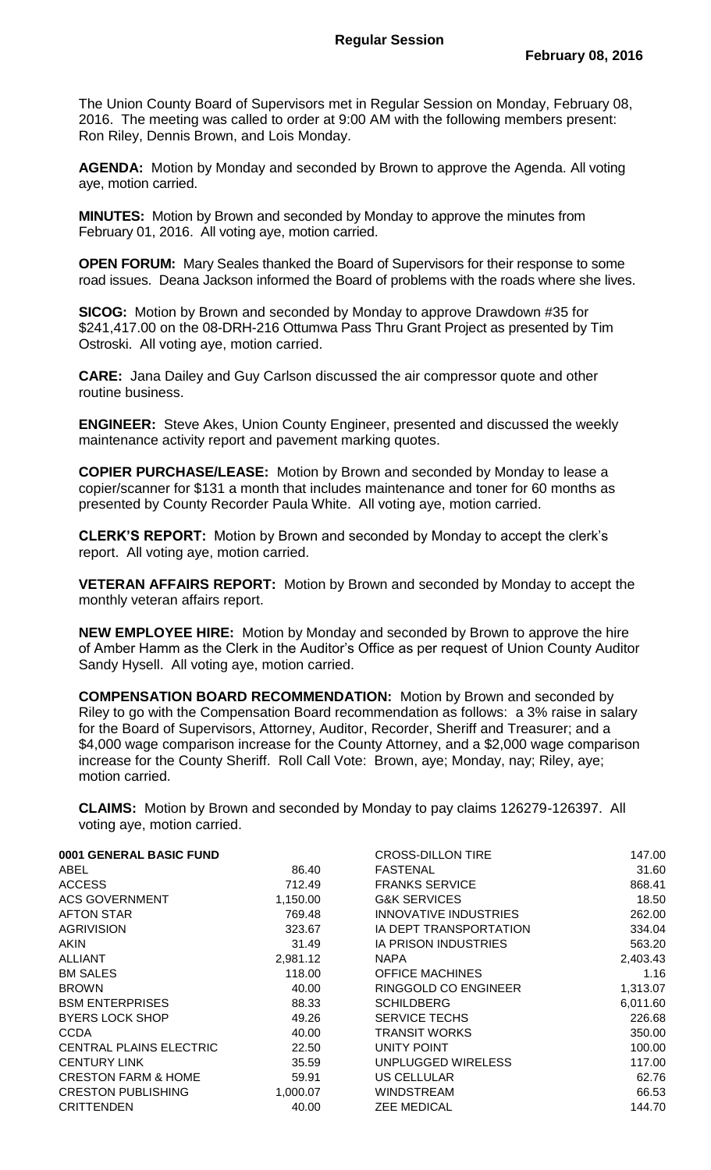The Union County Board of Supervisors met in Regular Session on Monday, February 08, 2016. The meeting was called to order at 9:00 AM with the following members present: Ron Riley, Dennis Brown, and Lois Monday.

**AGENDA:** Motion by Monday and seconded by Brown to approve the Agenda. All voting aye, motion carried.

**MINUTES:** Motion by Brown and seconded by Monday to approve the minutes from February 01, 2016. All voting aye, motion carried.

**OPEN FORUM:** Mary Seales thanked the Board of Supervisors for their response to some road issues. Deana Jackson informed the Board of problems with the roads where she lives.

**SICOG:** Motion by Brown and seconded by Monday to approve Drawdown #35 for \$241,417.00 on the 08-DRH-216 Ottumwa Pass Thru Grant Project as presented by Tim Ostroski. All voting aye, motion carried.

**CARE:** Jana Dailey and Guy Carlson discussed the air compressor quote and other routine business.

**ENGINEER:** Steve Akes, Union County Engineer, presented and discussed the weekly maintenance activity report and pavement marking quotes.

**COPIER PURCHASE/LEASE:** Motion by Brown and seconded by Monday to lease a copier/scanner for \$131 a month that includes maintenance and toner for 60 months as presented by County Recorder Paula White. All voting aye, motion carried.

**CLERK'S REPORT:** Motion by Brown and seconded by Monday to accept the clerk's report. All voting aye, motion carried.

**VETERAN AFFAIRS REPORT:** Motion by Brown and seconded by Monday to accept the monthly veteran affairs report.

**NEW EMPLOYEE HIRE:** Motion by Monday and seconded by Brown to approve the hire of Amber Hamm as the Clerk in the Auditor's Office as per request of Union County Auditor Sandy Hysell. All voting aye, motion carried.

**COMPENSATION BOARD RECOMMENDATION:** Motion by Brown and seconded by Riley to go with the Compensation Board recommendation as follows: a 3% raise in salary for the Board of Supervisors, Attorney, Auditor, Recorder, Sheriff and Treasurer; and a \$4,000 wage comparison increase for the County Attorney, and a \$2,000 wage comparison increase for the County Sheriff. Roll Call Vote: Brown, aye; Monday, nay; Riley, aye; motion carried.

**CLAIMS:** Motion by Brown and seconded by Monday to pay claims 126279-126397. All voting aye, motion carried.

| 0001 GENERAL BASIC FUND        |          | <b>CROSS-DILLON TIRE</b>    | 147.00   |
|--------------------------------|----------|-----------------------------|----------|
| ABEL                           | 86.40    | <b>FASTENAL</b>             | 31.60    |
| <b>ACCESS</b>                  | 712.49   | <b>FRANKS SERVICE</b>       | 868.41   |
| <b>ACS GOVERNMENT</b>          | 1,150.00 | <b>G&amp;K SERVICES</b>     | 18.50    |
| AFTON STAR                     | 769.48   | INNOVATIVE INDUSTRIES       | 262.00   |
| <b>AGRIVISION</b>              | 323.67   | IA DEPT TRANSPORTATION      | 334.04   |
| <b>AKIN</b>                    | 31.49    | <b>IA PRISON INDUSTRIES</b> | 563.20   |
| <b>ALLIANT</b>                 | 2,981.12 | <b>NAPA</b>                 | 2,403.43 |
| <b>BM SALES</b>                | 118.00   | <b>OFFICE MACHINES</b>      | 1.16     |
| <b>BROWN</b>                   | 40.00    | RINGGOLD CO ENGINEER        | 1,313.07 |
| <b>BSM ENTERPRISES</b>         | 88.33    | <b>SCHILDBERG</b>           | 6,011.60 |
| <b>BYERS LOCK SHOP</b>         | 49.26    | <b>SERVICE TECHS</b>        | 226.68   |
| <b>CCDA</b>                    | 40.00    | <b>TRANSIT WORKS</b>        | 350.00   |
| <b>CENTRAL PLAINS ELECTRIC</b> | 22.50    | UNITY POINT                 | 100.00   |
| <b>CENTURY LINK</b>            | 35.59    | UNPLUGGED WIRELESS          | 117.00   |
| <b>CRESTON FARM &amp; HOME</b> | 59.91    | <b>US CELLULAR</b>          | 62.76    |
| <b>CRESTON PUBLISHING</b>      | 1,000.07 | <b>WINDSTREAM</b>           | 66.53    |
| <b>CRITTENDEN</b>              | 40.00    | <b>ZEE MEDICAL</b>          | 144.70   |